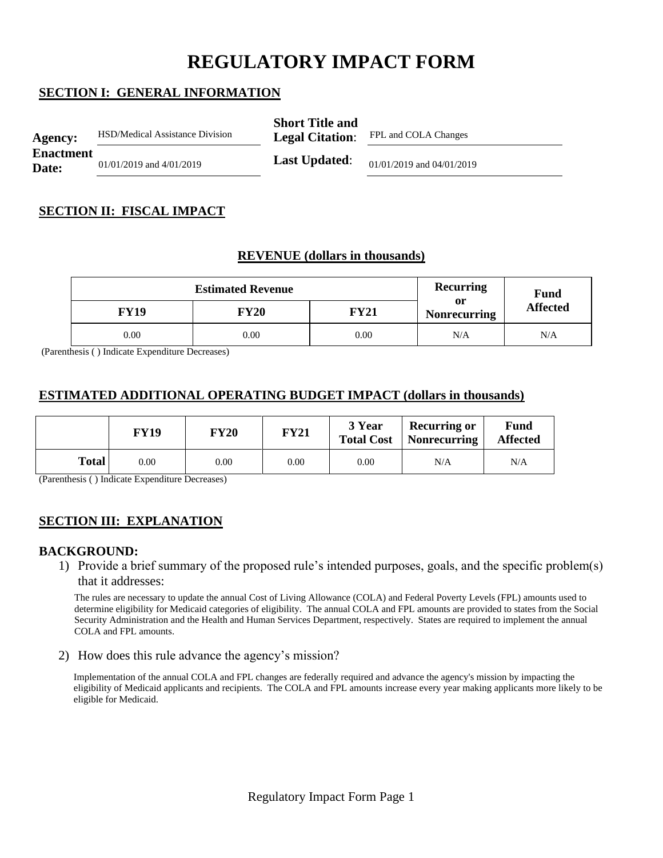# **REGULATORY IMPACT FORM**

## **SECTION I: GENERAL INFORMATION**

| Agency:                   | <b>HSD/Medical Assistance Division</b> | <b>Short Title and</b><br><b>Legal Citation:</b> | FPL and COLA Changes      |
|---------------------------|----------------------------------------|--------------------------------------------------|---------------------------|
| <b>Enactment</b><br>Date: | $01/01/2019$ and $4/01/2019$           | <b>Last Updated:</b>                             | 01/01/2019 and 04/01/2019 |

## **SECTION II: FISCAL IMPACT**

## **REVENUE (dollars in thousands)**

|             | Recurring | <b>Fund</b> |                           |                 |
|-------------|-----------|-------------|---------------------------|-----------------|
| <b>FY19</b> | FY20      | FY21        | 0r<br><b>Nonrecurring</b> | <b>Affected</b> |
| $0.00\,$    | 0.00      | 0.00        | N/A                       | N/A             |

(Parenthesis ( ) Indicate Expenditure Decreases)

## **ESTIMATED ADDITIONAL OPERATING BUDGET IMPACT (dollars in thousands)**

|       | <b>FY19</b> | <b>FY20</b> | <b>FY21</b> | 3 Year<br><b>Total Cost</b> | <b>Recurring or</b><br>Nonrecurring | <b>Fund</b><br><b>Affected</b> |
|-------|-------------|-------------|-------------|-----------------------------|-------------------------------------|--------------------------------|
| Total | 0.00        | 0.00        | $0.00\,$    | $0.00\,$                    | N/A                                 | N/A                            |

(Parenthesis ( ) Indicate Expenditure Decreases)

# **SECTION III: EXPLANATION**

#### **BACKGROUND:**

1) Provide a brief summary of the proposed rule's intended purposes, goals, and the specific problem(s) that it addresses:

The rules are necessary to update the annual Cost of Living Allowance (COLA) and Federal Poverty Levels (FPL) amounts used to determine eligibility for Medicaid categories of eligibility. The annual COLA and FPL amounts are provided to states from the Social Security Administration and the Health and Human Services Department, respectively. States are required to implement the annual COLA and FPL amounts.

2) How does this rule advance the agency's mission?

Implementation of the annual COLA and FPL changes are federally required and advance the agency's mission by impacting the eligibility of Medicaid applicants and recipients. The COLA and FPL amounts increase every year making applicants more likely to be eligible for Medicaid.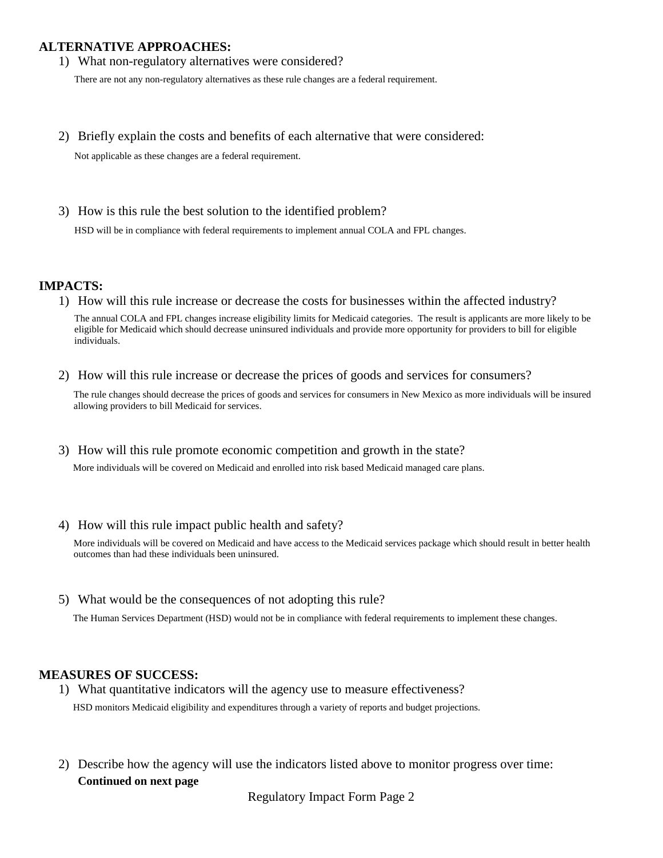### **ALTERNATIVE APPROACHES:**

1) What non-regulatory alternatives were considered?

There are not any non-regulatory alternatives as these rule changes are a federal requirement.

2) Briefly explain the costs and benefits of each alternative that were considered:

Not applicable as these changes are a federal requirement.

3) How is this rule the best solution to the identified problem?

HSD will be in compliance with federal requirements to implement annual COLA and FPL changes.

#### **IMPACTS:**

1) How will this rule increase or decrease the costs for businesses within the affected industry?

The annual COLA and FPL changes increase eligibility limits for Medicaid categories. The result is applicants are more likely to be eligible for Medicaid which should decrease uninsured individuals and provide more opportunity for providers to bill for eligible individuals.

2) How will this rule increase or decrease the prices of goods and services for consumers?

The rule changes should decrease the prices of goods and services for consumers in New Mexico as more individuals will be insured allowing providers to bill Medicaid for services.

3) How will this rule promote economic competition and growth in the state?

More individuals will be covered on Medicaid and enrolled into risk based Medicaid managed care plans.

4) How will this rule impact public health and safety?

More individuals will be covered on Medicaid and have access to the Medicaid services package which should result in better health outcomes than had these individuals been uninsured.

5) What would be the consequences of not adopting this rule?

The Human Services Department (HSD) would not be in compliance with federal requirements to implement these changes.

#### **MEASURES OF SUCCESS:**

- 1) What quantitative indicators will the agency use to measure effectiveness? HSD monitors Medicaid eligibility and expenditures through a variety of reports and budget projections.
- 2) Describe how the agency will use the indicators listed above to monitor progress over time: **Continued on next page**

Regulatory Impact Form Page 2